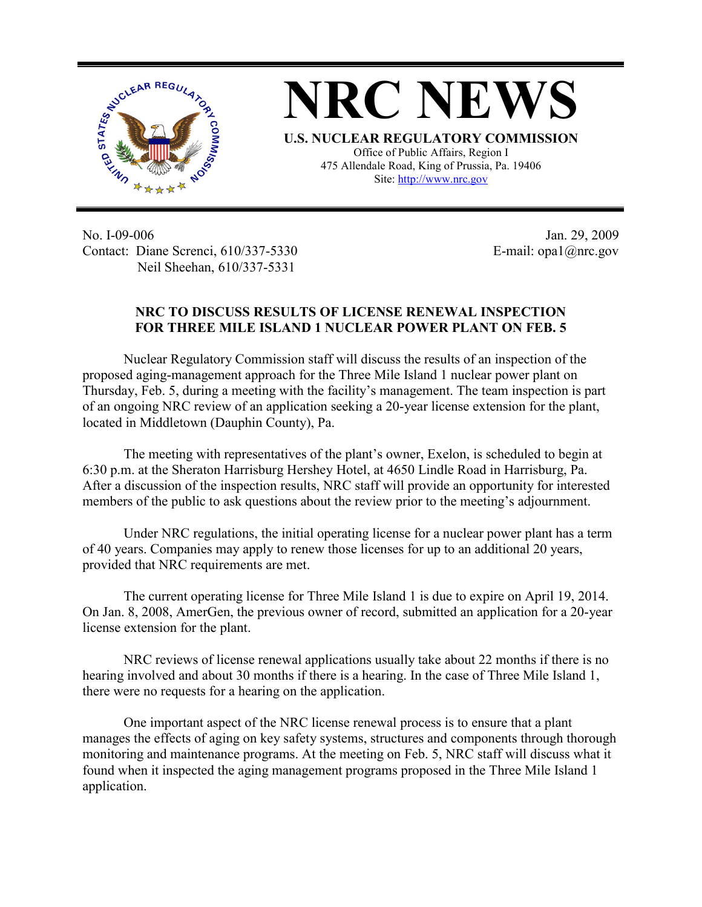

**NRC NEWS U.S. NUCLEAR REGULATORY COMMISSION** Office of Public Affairs, Region I 475 Allendale Road, King of Prussia, Pa. 19406

Site: http://www.nrc.gov

No. I-09-006 Contact: Diane Screnci, 610/337-5330 Neil Sheehan, 610/337-5331

Jan. 29, 2009 E-mail: opa1@nrc.gov

## **NRC TO DISCUSS RESULTS OF LICENSE RENEWAL INSPECTION FOR THREE MILE ISLAND 1 NUCLEAR POWER PLANT ON FEB. 5**

Nuclear Regulatory Commission staff will discuss the results of an inspection of the proposed aging-management approach for the Three Mile Island 1 nuclear power plant on Thursday, Feb. 5, during a meeting with the facility's management. The team inspection is part of an ongoing NRC review of an application seeking a 20-year license extension for the plant, located in Middletown (Dauphin County), Pa.

The meeting with representatives of the plant's owner, Exelon, is scheduled to begin at 6:30 p.m. at the Sheraton Harrisburg Hershey Hotel, at 4650 Lindle Road in Harrisburg, Pa. After a discussion of the inspection results, NRC staff will provide an opportunity for interested members of the public to ask questions about the review prior to the meeting's adjournment.

Under NRC regulations, the initial operating license for a nuclear power plant has a term of 40 years. Companies may apply to renew those licenses for up to an additional 20 years, provided that NRC requirements are met.

The current operating license for Three Mile Island 1 is due to expire on April 19, 2014. On Jan. 8, 2008, AmerGen, the previous owner of record, submitted an application for a 20-year license extension for the plant.

NRC reviews of license renewal applications usually take about 22 months if there is no hearing involved and about 30 months if there is a hearing. In the case of Three Mile Island 1, there were no requests for a hearing on the application.

One important aspect of the NRC license renewal process is to ensure that a plant manages the effects of aging on key safety systems, structures and components through thorough monitoring and maintenance programs. At the meeting on Feb. 5, NRC staff will discuss what it found when it inspected the aging management programs proposed in the Three Mile Island 1 application.